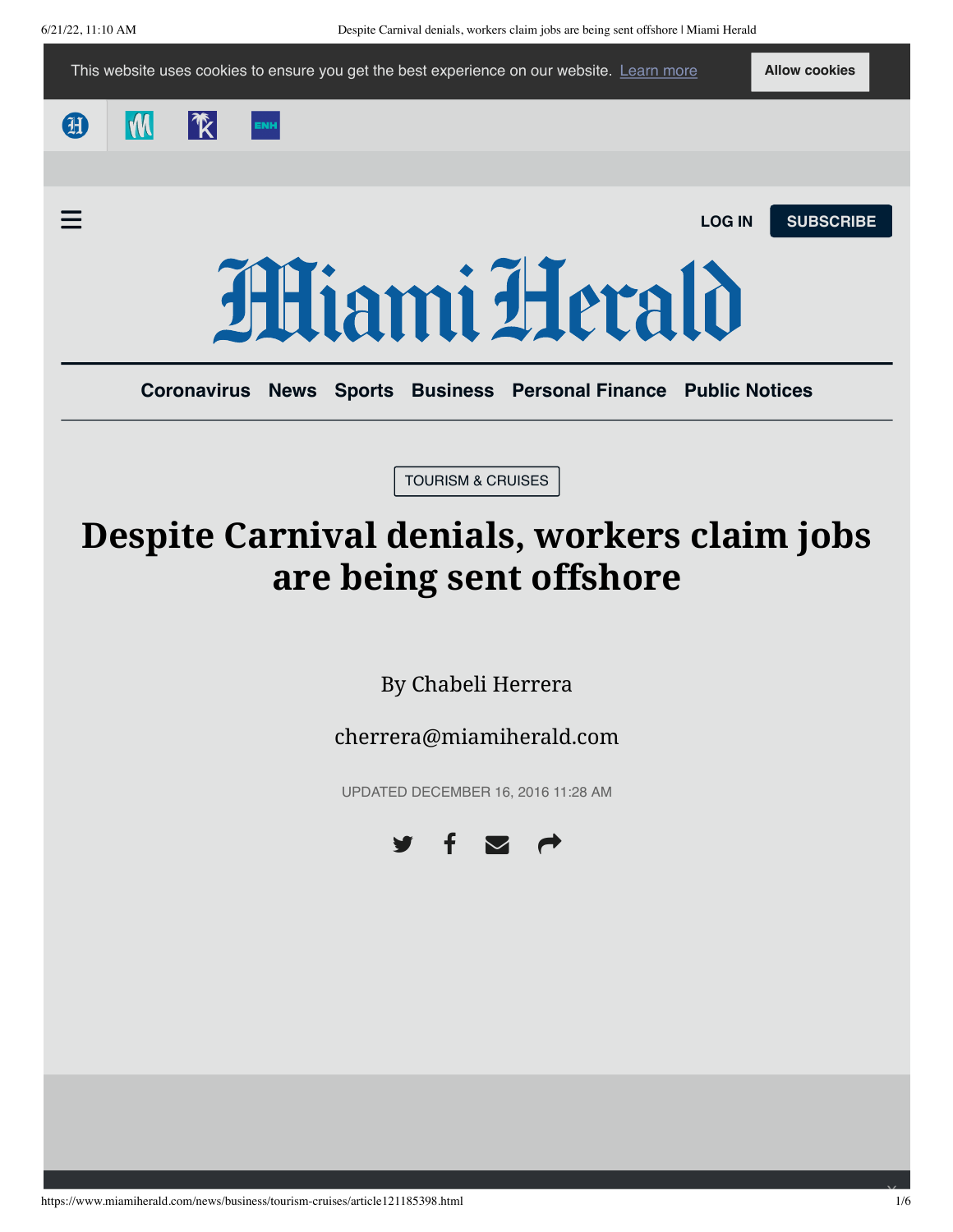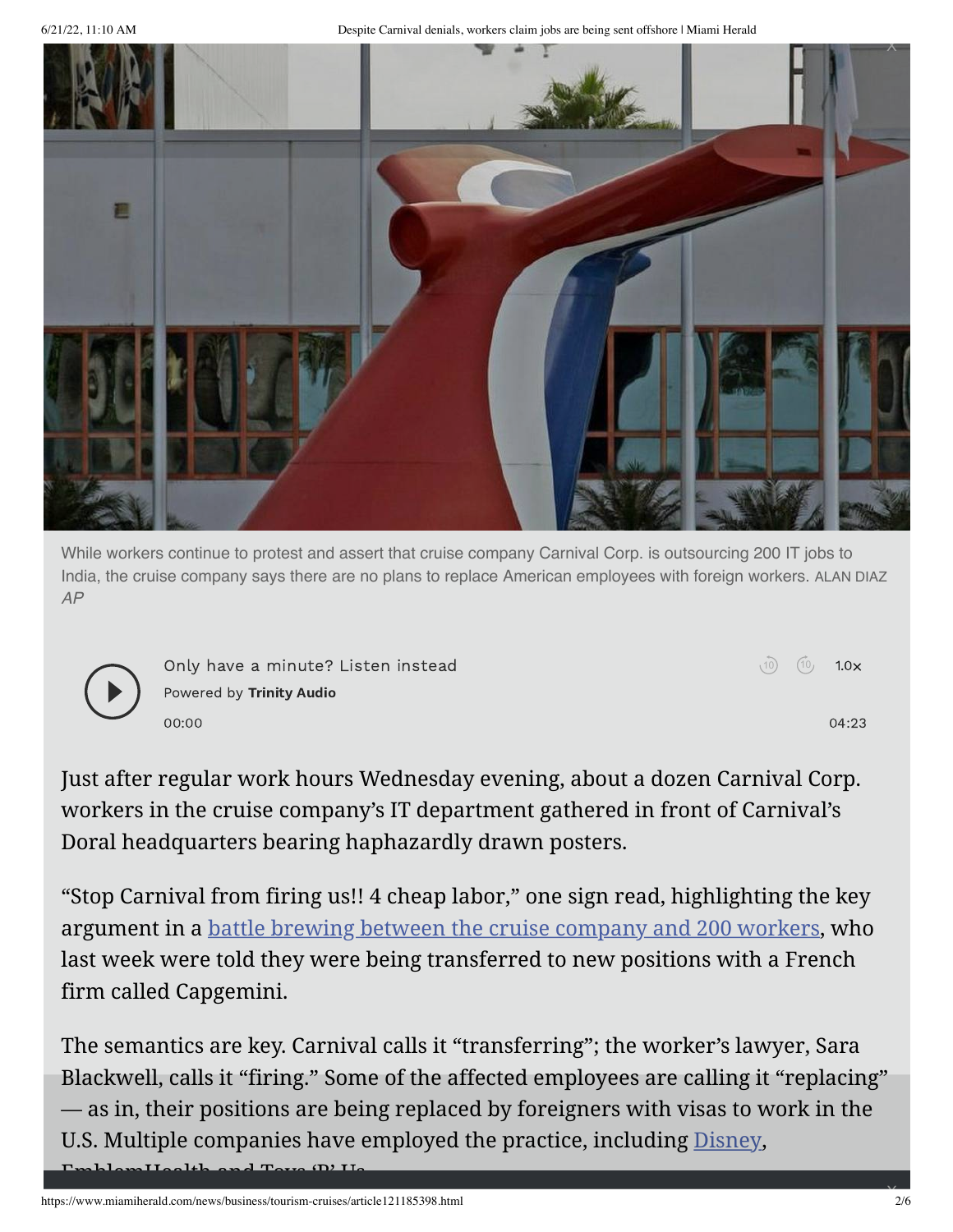6/21/22, 11:10 AM Despite Carnival denials, workers claim jobs are being sent offshore | Miami Herald



While workers continue to protest and assert that cruise company Carnival Corp. is outsourcing 200 IT jobs to India, the cruise company says there are no plans to replace American employees with foreign workers. ALAN DIAZ *AP*



Only have a minute? Listen instead  $\qquad \qquad \qquad \qquad \text{(0)} \quad \text{(10)} \quad \text{1.0x}$ Powered by [Trinity](https://trinityaudio.ai/?utm_source=https%3A%2F%2Fwww.miamiherald.com&utm_medium=player%2520lin) Audio 00:00 04:23

 $(10)$ 

Just after regular work hours Wednesday evening, about a dozen Carnival Corp. workers in the cruise company's IT department gathered in front of Carnival's Doral headquarters bearing haphazardly drawn posters.

"Stop Carnival from firing us!! 4 cheap labor," one sign read, highlighting the key argument in a [battle brewing between the cruise company and 200 workers,](http://www.miamiherald.com/news/business/tourism-cruises/article120511818.html) who last week were told they were being transferred to new positions with a French firm called Capgemini.

The semantics are key. Carnival calls it "transferring"; the worker's lawyer, Sara Blackwell, calls it "firing." Some of the affected employees are calling it "replacing" — as in, their positions are being replaced by foreigners with visas to work in the U.S. Multiple companies have employed the practice, including [Disney,](http://www.nytimes.com/2015/06/04/us/last-task-after-layoff-at-disney-train-foreign-replacements.html)  $L$ lam $H$ alth and Toys  $(D)$  II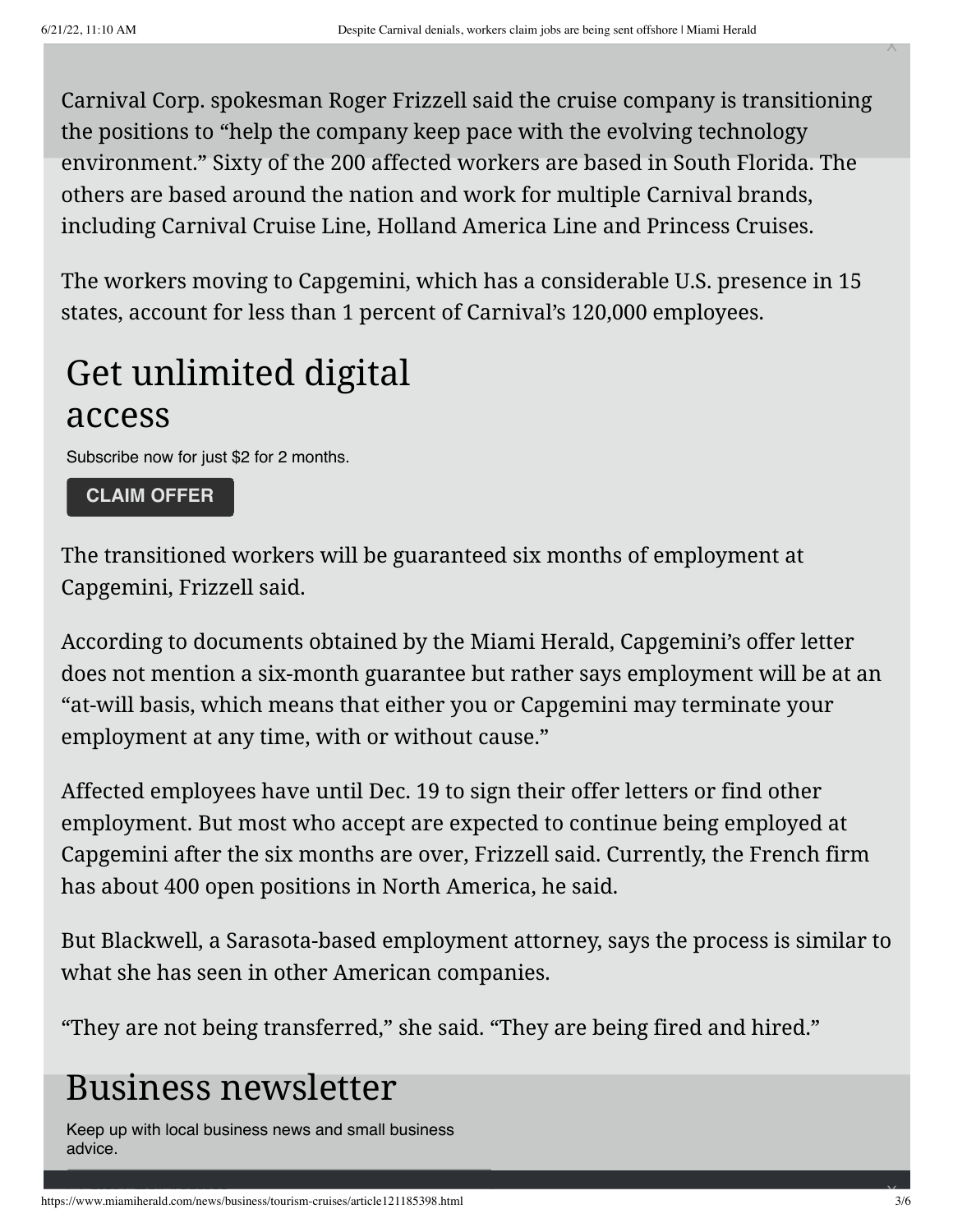Carnival Corp. spokesman Roger Frizzell said the cruise company is transitioning the positions to "help the company keep pace with the evolving technology environment." Sixty of the 200 affected workers are based in South Florida. The others are based around the nation and work for multiple Carnival brands, including Carnival Cruise Line, Holland America Line and Princess Cruises.

The workers moving to Capgemini, which has a considerable U.S. presence in 15 states, account for less than 1 percent of Carnival's 120,000 employees.

# Get unlimited digital access

Subscribe now for just \$2 for 2 months.

### **[CLAIM OFFER](https://mycheckout.miamiherald.com/subscribe?ofrgp_id=395&g2i_or_o=OnSite&g2i_or_p=CTA&cid=cta_dynamic-zone_3a_default-.99mo-2mo-15.99_202205)**

The transitioned workers will be guaranteed six months of employment at Capgemini, Frizzell said.

According to documents obtained by the Miami Herald, Capgemini's offer letter does not mention a six-month guarantee but rather says employment will be at an "at-will basis, which means that either you or Capgemini may terminate your employment at any time, with or without cause."

Affected employees have until Dec. 19 to sign their offer letters or find other employment. But most who accept are expected to continue being employed at Capgemini after the six months are over, Frizzell said. Currently, the French firm has about 400 open positions in North America, he said.

But Blackwell, a Sarasota-based employment attorney, says the process is similar to what she has seen in other American companies.

"They are not being transferred," she said. "They are being fired and hired."

## Business newsletter

Keep up with local business news and small business advice.

X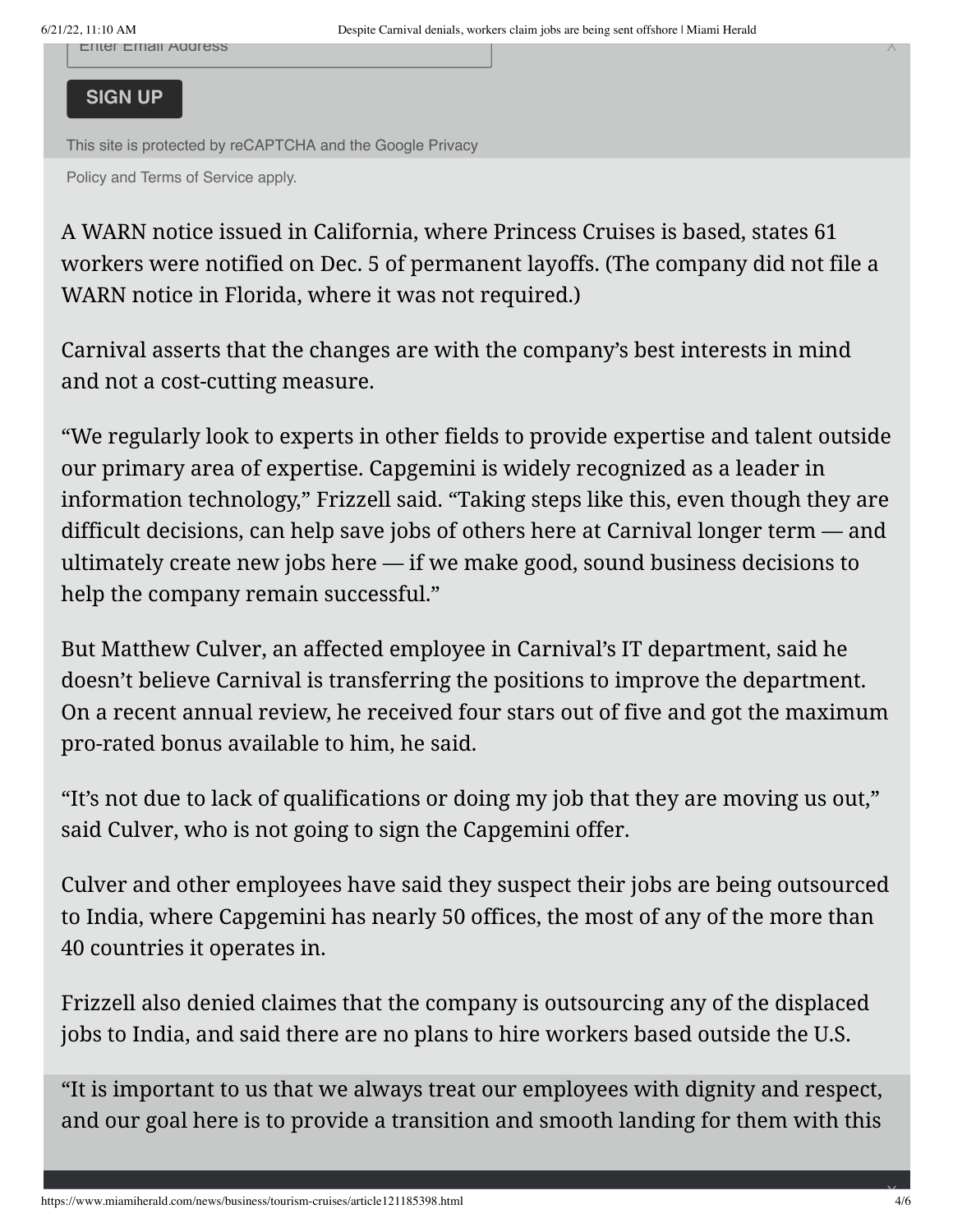Enter Email Address X

#### **SIGN UP**

[This site is protected by reCAPTCHA and the Google Privacy](https://policies.google.com/privacy)

Policy and [Terms of Service](https://policies.google.com/terms) apply.

A WARN notice issued in California, where Princess Cruises is based, states 61 workers were notified on Dec. 5 of permanent layoffs. (The company did not file a WARN notice in Florida, where it was not required.)

Carnival asserts that the changes are with the company's best interests in mind and not a cost-cutting measure.

"We regularly look to experts in other fields to provide expertise and talent outside our primary area of expertise. Capgemini is widely recognized as a leader in information technology," Frizzell said. "Taking steps like this, even though they are difficult decisions, can help save jobs of others here at Carnival longer term — and ultimately create new jobs here — if we make good, sound business decisions to help the company remain successful."

But Matthew Culver, an affected employee in Carnival's IT department, said he doesn't believe Carnival is transferring the positions to improve the department. On a recent annual review, he received four stars out of five and got the maximum pro-rated bonus available to him, he said.

"It's not due to lack of qualifications or doing my job that they are moving us out," said Culver, who is not going to sign the Capgemini offer.

Culver and other employees have said they suspect their jobs are being outsourced to India, where Capgemini has nearly 50 offices, the most of any of the more than 40 countries it operates in.

Frizzell also denied claimes that the company is outsourcing any of the displaced jobs to India, and said there are no plans to hire workers based outside the U.S.

"It is important to us that we always treat our employees with dignity and respect, and our goal here is to provide a transition and smooth landing for them with this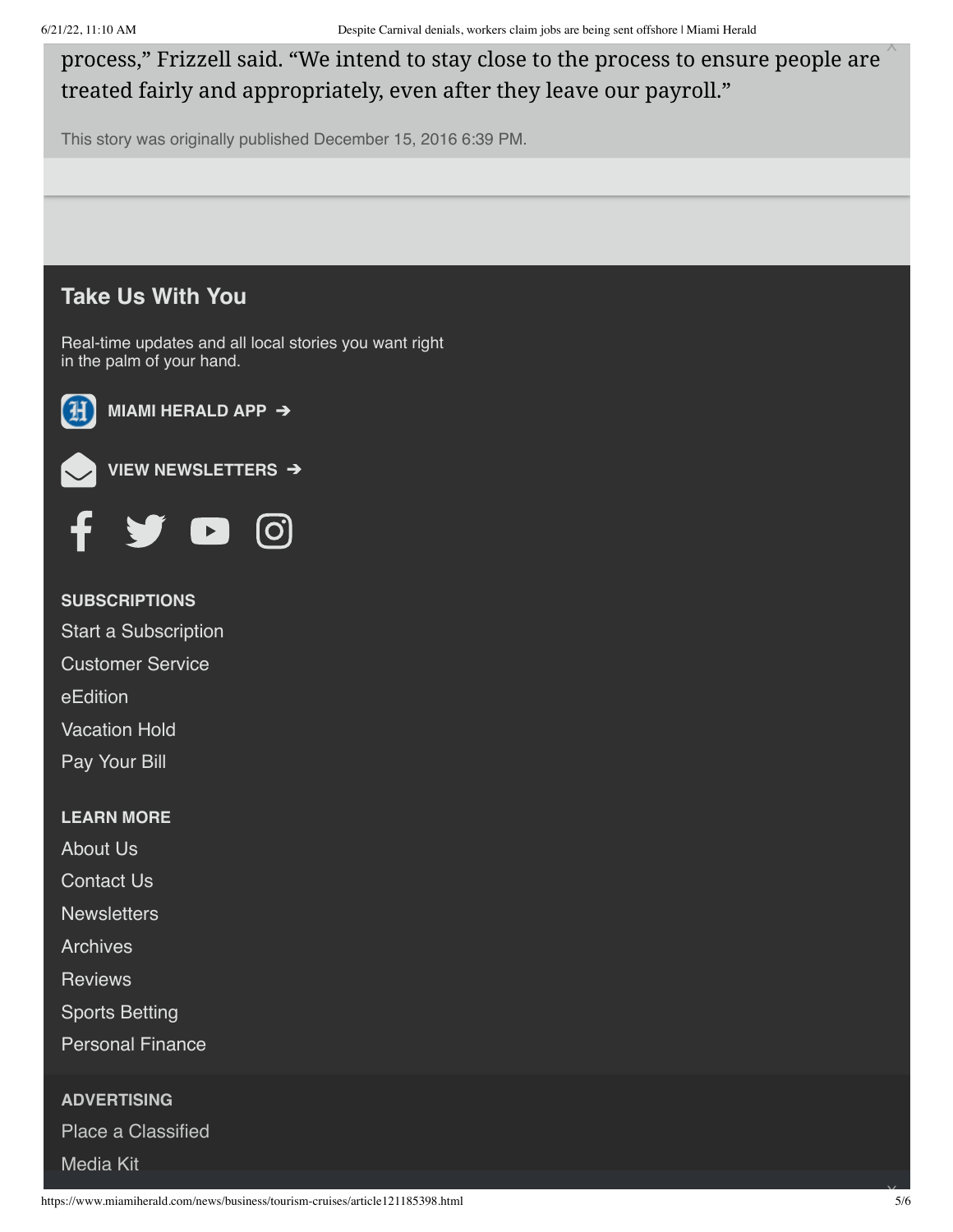process," Frizzell said. "We intend to stay close to the process to ensure people are treated fairly and appropriately, even after they leave our payroll." Process," Frizzell said. "Depie Combut density away be process," Frizzell said. "We intend to stay close to the<br>This story was originally published December 15, 2016 6:39 PM.<br>This story was originally published December 1

This story was originally published December 15, 2016 6:39 PM.

## **Take Us With You**

Real-time updates and all local stories you want right in the palm of your hand.



**[MIAMI HERALD APP](https://miamiherald.com/mobile)** ➔



**[VIEW NEWSLETTERS](http://t.news.miamiherald.com/webApp/mccSignupPage?siteName=miamiherald)**  ➔



**SUBSCRIPTIONS**

[Start a Subscription](https://mycheckout.miamiherald.com/)

[Customer Service](https://www.miamiherald.com/customer-service#navlink=mi_footer)

[eEdition](https://www.miamiherald.com/e-edition/today#navlink=mi_footer)

[Vacation Hold](https://myaccount.miamiherald.com/mia_mh/home)

[Pay Your Bill](https://myaccount.miamiherald.com/mia_mh/home)

#### **LEARN MORE**

[About Us](https://www.mcclatchy.com/our-impact/markets/miami-herald/#navlink=mi_footer)

[Contact Us](https://www.miamiherald.com/customer-service/#navlink=mi_footer)

**[Newsletters](http://t.news.miamiherald.com/webApp/mccSignupPage?siteName=miamiherald#navlink=mi_footer)** 

[Archives](https://www.miamiherald.com/archives/#navlink=mi_footer)

**[Reviews](https://www.miamiherald.com/reviews/#navlink=mi_footer)** 

[Sports Betting](https://www.miamiherald.com/betting/#navlink=mi_footer)

[Personal Finance](https://www.miamiherald.com/money/#navlink=mi_footer)

**ADVERTISING**

Place a Classified

[Media Kit](https://go.mcclatchy.com/media-capabilities-miami)

X